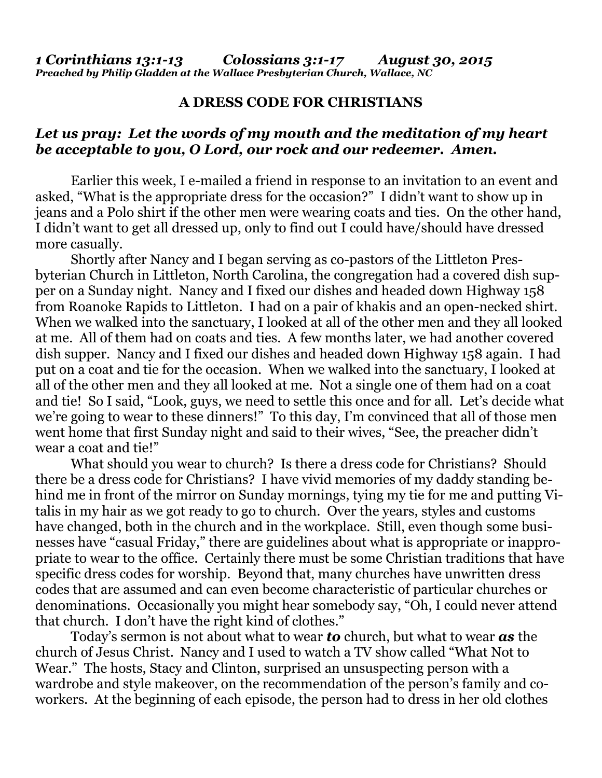## **A DRESS CODE FOR CHRISTIANS**

## *Let us pray: Let the words of my mouth and the meditation of my heart be acceptable to you, O Lord, our rock and our redeemer. Amen.*

Earlier this week, I e-mailed a friend in response to an invitation to an event and asked, "What is the appropriate dress for the occasion?" I didn't want to show up in jeans and a Polo shirt if the other men were wearing coats and ties. On the other hand, I didn't want to get all dressed up, only to find out I could have/should have dressed more casually.

 Shortly after Nancy and I began serving as co-pastors of the Littleton Presbyterian Church in Littleton, North Carolina, the congregation had a covered dish supper on a Sunday night. Nancy and I fixed our dishes and headed down Highway 158 from Roanoke Rapids to Littleton. I had on a pair of khakis and an open-necked shirt. When we walked into the sanctuary, I looked at all of the other men and they all looked at me. All of them had on coats and ties. A few months later, we had another covered dish supper. Nancy and I fixed our dishes and headed down Highway 158 again. I had put on a coat and tie for the occasion. When we walked into the sanctuary, I looked at all of the other men and they all looked at me. Not a single one of them had on a coat and tie! So I said, "Look, guys, we need to settle this once and for all. Let's decide what we're going to wear to these dinners!" To this day, I'm convinced that all of those men went home that first Sunday night and said to their wives, "See, the preacher didn't wear a coat and tie!"

 What should you wear to church? Is there a dress code for Christians? Should there be a dress code for Christians? I have vivid memories of my daddy standing behind me in front of the mirror on Sunday mornings, tying my tie for me and putting Vitalis in my hair as we got ready to go to church. Over the years, styles and customs have changed, both in the church and in the workplace. Still, even though some businesses have "casual Friday," there are guidelines about what is appropriate or inappropriate to wear to the office. Certainly there must be some Christian traditions that have specific dress codes for worship. Beyond that, many churches have unwritten dress codes that are assumed and can even become characteristic of particular churches or denominations. Occasionally you might hear somebody say, "Oh, I could never attend that church. I don't have the right kind of clothes."

 Today's sermon is not about what to wear *to* church, but what to wear *as* the church of Jesus Christ. Nancy and I used to watch a TV show called "What Not to Wear." The hosts, Stacy and Clinton, surprised an unsuspecting person with a wardrobe and style makeover, on the recommendation of the person's family and coworkers. At the beginning of each episode, the person had to dress in her old clothes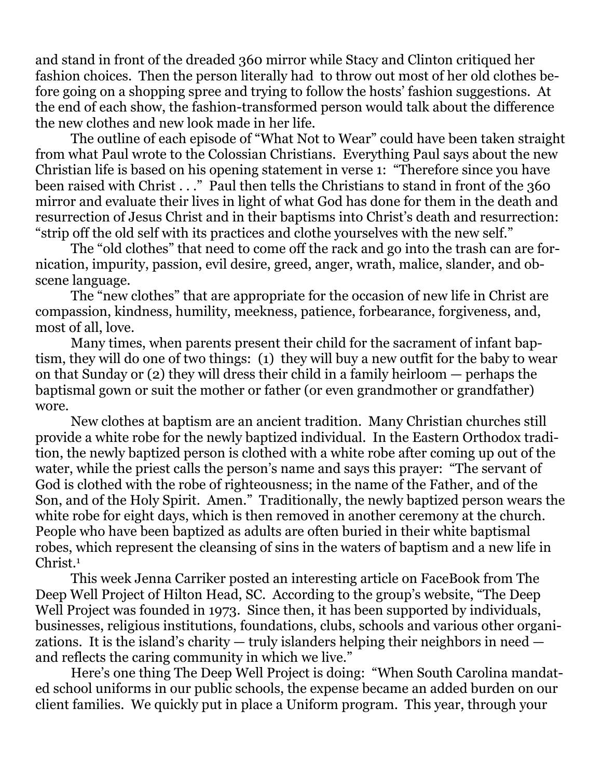and stand in front of the dreaded 360 mirror while Stacy and Clinton critiqued her fashion choices. Then the person literally had to throw out most of her old clothes before going on a shopping spree and trying to follow the hosts' fashion suggestions. At the end of each show, the fashion-transformed person would talk about the difference the new clothes and new look made in her life.

 The outline of each episode of "What Not to Wear" could have been taken straight from what Paul wrote to the Colossian Christians. Everything Paul says about the new Christian life is based on his opening statement in verse 1: "Therefore since you have been raised with Christ . . ." Paul then tells the Christians to stand in front of the 360 mirror and evaluate their lives in light of what God has done for them in the death and resurrection of Jesus Christ and in their baptisms into Christ's death and resurrection: "strip off the old self with its practices and clothe yourselves with the new self."

 The "old clothes" that need to come off the rack and go into the trash can are fornication, impurity, passion, evil desire, greed, anger, wrath, malice, slander, and obscene language.

 The "new clothes" that are appropriate for the occasion of new life in Christ are compassion, kindness, humility, meekness, patience, forbearance, forgiveness, and, most of all, love.

 Many times, when parents present their child for the sacrament of infant baptism, they will do one of two things: (1) they will buy a new outfit for the baby to wear on that Sunday or (2) they will dress their child in a family heirloom — perhaps the baptismal gown or suit the mother or father (or even grandmother or grandfather) wore.

 New clothes at baptism are an ancient tradition. Many Christian churches still provide a white robe for the newly baptized individual. In the Eastern Orthodox tradition, the newly baptized person is clothed with a white robe after coming up out of the water, while the priest calls the person's name and says this prayer: "The servant of God is clothed with the robe of righteousness; in the name of the Father, and of the Son, and of the Holy Spirit. Amen." Traditionally, the newly baptized person wears the white robe for eight days, which is then removed in another ceremony at the church. People who have been baptized as adults are often buried in their white baptismal robes, which represent the cleansing of sins in the waters of baptism and a new life in Christ.1

 This week Jenna Carriker posted an interesting article on FaceBook from The Deep Well Project of Hilton Head, SC. According to the group's website, "The Deep Well Project was founded in 1973. Since then, it has been supported by individuals, businesses, religious institutions, foundations, clubs, schools and various other organizations. It is the island's charity  $-$  truly islanders helping their neighbors in need  $$ and reflects the caring community in which we live."

 Here's one thing The Deep Well Project is doing: "When South Carolina mandated school uniforms in our public schools, the expense became an added burden on our client families. We quickly put in place a Uniform program. This year, through your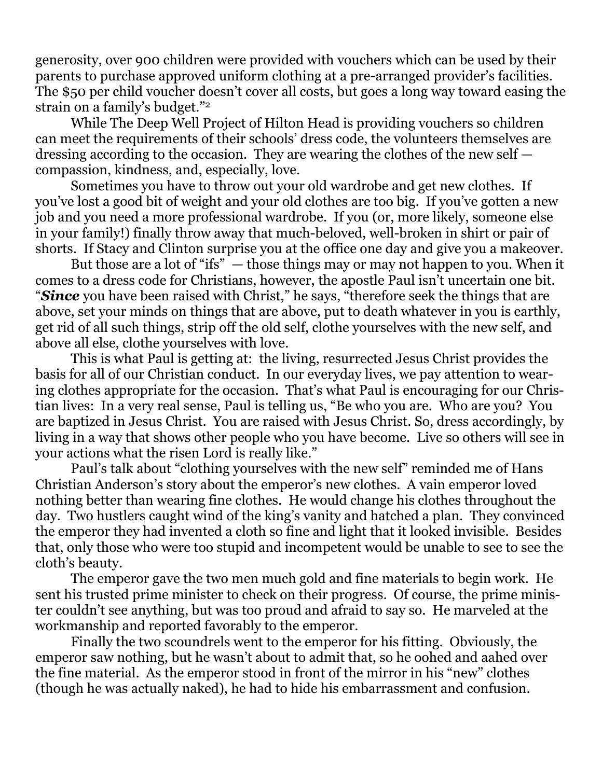generosity, over 900 children were provided with vouchers which can be used by their parents to purchase approved uniform clothing at a pre-arranged provider's facilities. The \$50 per child voucher doesn't cover all costs, but goes a long way toward easing the strain on a family's budget."2

 While The Deep Well Project of Hilton Head is providing vouchers so children can meet the requirements of their schools' dress code, the volunteers themselves are dressing according to the occasion. They are wearing the clothes of the new self compassion, kindness, and, especially, love.

 Sometimes you have to throw out your old wardrobe and get new clothes. If you've lost a good bit of weight and your old clothes are too big. If you've gotten a new job and you need a more professional wardrobe. If you (or, more likely, someone else in your family!) finally throw away that much-beloved, well-broken in shirt or pair of shorts. If Stacy and Clinton surprise you at the office one day and give you a makeover.

 But those are a lot of "ifs" — those things may or may not happen to you. When it comes to a dress code for Christians, however, the apostle Paul isn't uncertain one bit. "*Since* you have been raised with Christ," he says, "therefore seek the things that are above, set your minds on things that are above, put to death whatever in you is earthly, get rid of all such things, strip off the old self, clothe yourselves with the new self, and above all else, clothe yourselves with love.

 This is what Paul is getting at: the living, resurrected Jesus Christ provides the basis for all of our Christian conduct. In our everyday lives, we pay attention to wearing clothes appropriate for the occasion. That's what Paul is encouraging for our Christian lives: In a very real sense, Paul is telling us, "Be who you are. Who are you? You are baptized in Jesus Christ. You are raised with Jesus Christ. So, dress accordingly, by living in a way that shows other people who you have become. Live so others will see in your actions what the risen Lord is really like."

 Paul's talk about "clothing yourselves with the new self" reminded me of Hans Christian Anderson's story about the emperor's new clothes. A vain emperor loved nothing better than wearing fine clothes. He would change his clothes throughout the day. Two hustlers caught wind of the king's vanity and hatched a plan. They convinced the emperor they had invented a cloth so fine and light that it looked invisible. Besides that, only those who were too stupid and incompetent would be unable to see to see the cloth's beauty.

 The emperor gave the two men much gold and fine materials to begin work. He sent his trusted prime minister to check on their progress. Of course, the prime minister couldn't see anything, but was too proud and afraid to say so. He marveled at the workmanship and reported favorably to the emperor.

 Finally the two scoundrels went to the emperor for his fitting. Obviously, the emperor saw nothing, but he wasn't about to admit that, so he oohed and aahed over the fine material. As the emperor stood in front of the mirror in his "new" clothes (though he was actually naked), he had to hide his embarrassment and confusion.